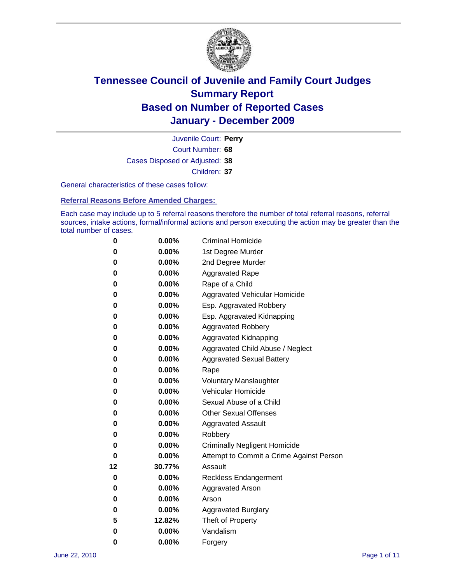

Court Number: **68** Juvenile Court: **Perry** Cases Disposed or Adjusted: **38** Children: **37**

General characteristics of these cases follow:

**Referral Reasons Before Amended Charges:** 

Each case may include up to 5 referral reasons therefore the number of total referral reasons, referral sources, intake actions, formal/informal actions and person executing the action may be greater than the total number of cases.

| 0  | 0.00%    | <b>Criminal Homicide</b>                 |  |  |  |
|----|----------|------------------------------------------|--|--|--|
| 0  | 0.00%    | 1st Degree Murder                        |  |  |  |
| 0  | 0.00%    | 2nd Degree Murder                        |  |  |  |
| 0  | 0.00%    | <b>Aggravated Rape</b>                   |  |  |  |
| 0  | 0.00%    | Rape of a Child                          |  |  |  |
| 0  | 0.00%    | Aggravated Vehicular Homicide            |  |  |  |
| 0  | 0.00%    | Esp. Aggravated Robbery                  |  |  |  |
| 0  | 0.00%    | Esp. Aggravated Kidnapping               |  |  |  |
| 0  | 0.00%    | <b>Aggravated Robbery</b>                |  |  |  |
| 0  | 0.00%    | Aggravated Kidnapping                    |  |  |  |
| 0  | 0.00%    | Aggravated Child Abuse / Neglect         |  |  |  |
| 0  | $0.00\%$ | <b>Aggravated Sexual Battery</b>         |  |  |  |
| 0  | 0.00%    | Rape                                     |  |  |  |
| 0  | $0.00\%$ | <b>Voluntary Manslaughter</b>            |  |  |  |
| 0  | 0.00%    | Vehicular Homicide                       |  |  |  |
| 0  | 0.00%    | Sexual Abuse of a Child                  |  |  |  |
| 0  | 0.00%    | <b>Other Sexual Offenses</b>             |  |  |  |
| 0  | 0.00%    | <b>Aggravated Assault</b>                |  |  |  |
| 0  | 0.00%    | Robbery                                  |  |  |  |
| 0  | 0.00%    | <b>Criminally Negligent Homicide</b>     |  |  |  |
| 0  | 0.00%    | Attempt to Commit a Crime Against Person |  |  |  |
| 12 | 30.77%   | Assault                                  |  |  |  |
| 0  | 0.00%    | <b>Reckless Endangerment</b>             |  |  |  |
| 0  | 0.00%    | <b>Aggravated Arson</b>                  |  |  |  |
| 0  | 0.00%    | Arson                                    |  |  |  |
| 0  | 0.00%    | <b>Aggravated Burglary</b>               |  |  |  |
| 5  | 12.82%   | Theft of Property                        |  |  |  |
| 0  | $0.00\%$ | Vandalism                                |  |  |  |
| 0  | 0.00%    | Forgery                                  |  |  |  |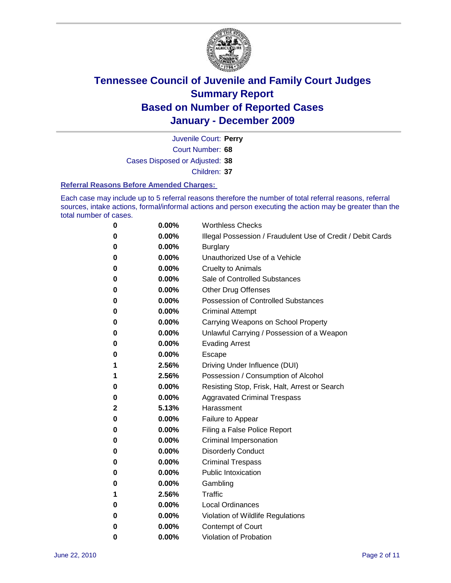

Court Number: **68** Juvenile Court: **Perry** Cases Disposed or Adjusted: **38** Children: **37**

#### **Referral Reasons Before Amended Charges:**

Each case may include up to 5 referral reasons therefore the number of total referral reasons, referral sources, intake actions, formal/informal actions and person executing the action may be greater than the total number of cases.

| $\boldsymbol{0}$ | 0.00% | <b>Worthless Checks</b>                                     |
|------------------|-------|-------------------------------------------------------------|
| 0                | 0.00% | Illegal Possession / Fraudulent Use of Credit / Debit Cards |
| 0                | 0.00% | <b>Burglary</b>                                             |
| 0                | 0.00% | Unauthorized Use of a Vehicle                               |
| 0                | 0.00% | <b>Cruelty to Animals</b>                                   |
| 0                | 0.00% | Sale of Controlled Substances                               |
| 0                | 0.00% | <b>Other Drug Offenses</b>                                  |
| 0                | 0.00% | Possession of Controlled Substances                         |
| 0                | 0.00% | <b>Criminal Attempt</b>                                     |
| 0                | 0.00% | Carrying Weapons on School Property                         |
| 0                | 0.00% | Unlawful Carrying / Possession of a Weapon                  |
| 0                | 0.00% | <b>Evading Arrest</b>                                       |
| 0                | 0.00% | Escape                                                      |
| 1                | 2.56% | Driving Under Influence (DUI)                               |
| 1                | 2.56% | Possession / Consumption of Alcohol                         |
| 0                | 0.00% | Resisting Stop, Frisk, Halt, Arrest or Search               |
| 0                | 0.00% | <b>Aggravated Criminal Trespass</b>                         |
| 2                | 5.13% | Harassment                                                  |
| 0                | 0.00% | Failure to Appear                                           |
| 0                | 0.00% | Filing a False Police Report                                |
| 0                | 0.00% | Criminal Impersonation                                      |
| 0                | 0.00% | <b>Disorderly Conduct</b>                                   |
| 0                | 0.00% | <b>Criminal Trespass</b>                                    |
| 0                | 0.00% | <b>Public Intoxication</b>                                  |
| 0                | 0.00% | Gambling                                                    |
| 1                | 2.56% | Traffic                                                     |
| 0                | 0.00% | <b>Local Ordinances</b>                                     |
| 0                | 0.00% | Violation of Wildlife Regulations                           |
| 0                | 0.00% | Contempt of Court                                           |
| 0                | 0.00% | Violation of Probation                                      |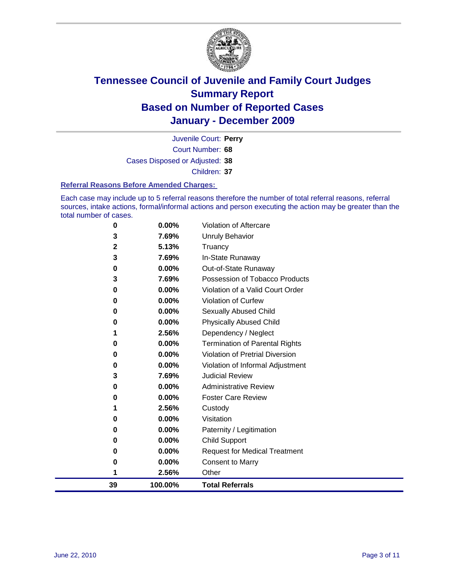

Court Number: **68** Juvenile Court: **Perry** Cases Disposed or Adjusted: **38** Children: **37**

#### **Referral Reasons Before Amended Charges:**

Each case may include up to 5 referral reasons therefore the number of total referral reasons, referral sources, intake actions, formal/informal actions and person executing the action may be greater than the total number of cases.

| 39           | 100.00%        | <b>Total Referrals</b>                                 |
|--------------|----------------|--------------------------------------------------------|
| 1            | 2.56%          | Other                                                  |
| 0            | 0.00%          | <b>Consent to Marry</b>                                |
| 0            | 0.00%          | <b>Request for Medical Treatment</b>                   |
| 0            | 0.00%          | <b>Child Support</b>                                   |
| $\bf{0}$     | 0.00%          | Paternity / Legitimation                               |
| 0            | 0.00%          | Visitation                                             |
| 1            | 2.56%          | Custody                                                |
| 0            | 0.00%          | <b>Foster Care Review</b>                              |
| 0            | 0.00%          | <b>Administrative Review</b>                           |
| 3            | 7.69%          | <b>Judicial Review</b>                                 |
| $\bf{0}$     | 0.00%          | Violation of Informal Adjustment                       |
| 0            | 0.00%          | <b>Violation of Pretrial Diversion</b>                 |
| $\bf{0}$     | 0.00%          | <b>Termination of Parental Rights</b>                  |
| 1            | 2.56%          | Dependency / Neglect                                   |
| 0            | 0.00%          | <b>Physically Abused Child</b>                         |
| 0            | 0.00%          | Sexually Abused Child                                  |
| 0            | 0.00%          | <b>Violation of Curfew</b>                             |
| 3<br>0       | 0.00%          | Violation of a Valid Court Order                       |
| 0            | 0.00%<br>7.69% | Out-of-State Runaway<br>Possession of Tobacco Products |
| 3            | 7.69%          | In-State Runaway                                       |
| $\mathbf{2}$ | 5.13%          | Truancy                                                |
| 3            | 7.69%          | Unruly Behavior                                        |
| 0            | 0.00%          | Violation of Aftercare                                 |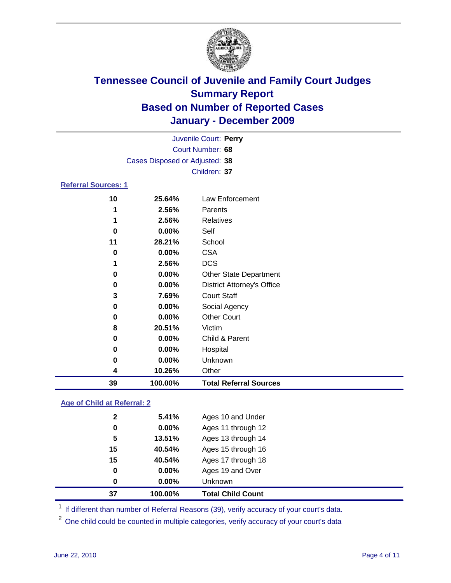

|                            | Juvenile Court: Perry          |                                   |  |  |
|----------------------------|--------------------------------|-----------------------------------|--|--|
|                            |                                | Court Number: 68                  |  |  |
|                            | Cases Disposed or Adjusted: 38 |                                   |  |  |
|                            |                                | Children: 37                      |  |  |
| <b>Referral Sources: 1</b> |                                |                                   |  |  |
| 10                         | 25.64%                         | <b>Law Enforcement</b>            |  |  |
| 1                          | 2.56%                          | Parents                           |  |  |
| 1                          | 2.56%                          | <b>Relatives</b>                  |  |  |
| 0                          | 0.00%                          | Self                              |  |  |
| 11                         | 28.21%                         | School                            |  |  |
| 0                          | 0.00%                          | <b>CSA</b>                        |  |  |
| 1                          | 2.56%                          | <b>DCS</b>                        |  |  |
| 0                          | 0.00%                          | Other State Department            |  |  |
| 0                          | 0.00%                          | <b>District Attorney's Office</b> |  |  |
| 3                          | 7.69%                          | <b>Court Staff</b>                |  |  |
| 0                          | 0.00%                          | Social Agency                     |  |  |
| 0                          | 0.00%                          | <b>Other Court</b>                |  |  |
| 8                          | 20.51%                         | Victim                            |  |  |
| 0                          | 0.00%                          | Child & Parent                    |  |  |
| 0                          | 0.00%                          | Hospital                          |  |  |
| 0                          | 0.00%                          | Unknown                           |  |  |
| 4                          | 10.26%                         | Other                             |  |  |
| 39                         | 100.00%                        | <b>Total Referral Sources</b>     |  |  |

### **Age of Child at Referral: 2**

| 40.54%<br>0.00%<br>0.00% | Ages 17 through 18<br>Ages 19 and Over<br><b>Unknown</b> |
|--------------------------|----------------------------------------------------------|
|                          |                                                          |
|                          |                                                          |
|                          |                                                          |
| 40.54%                   | Ages 15 through 16                                       |
| 13.51%                   | Ages 13 through 14                                       |
| 0.00%                    | Ages 11 through 12                                       |
|                          |                                                          |
|                          |                                                          |

<sup>1</sup> If different than number of Referral Reasons (39), verify accuracy of your court's data.

<sup>2</sup> One child could be counted in multiple categories, verify accuracy of your court's data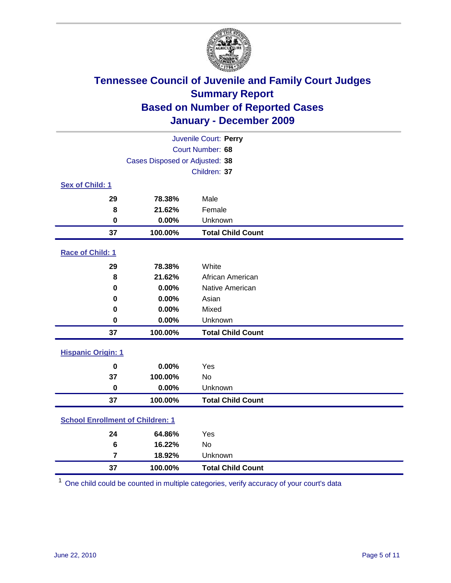

| Juvenile Court: Perry                   |                                |                          |  |  |
|-----------------------------------------|--------------------------------|--------------------------|--|--|
|                                         |                                | Court Number: 68         |  |  |
|                                         | Cases Disposed or Adjusted: 38 |                          |  |  |
|                                         |                                | Children: 37             |  |  |
| Sex of Child: 1                         |                                |                          |  |  |
| 29                                      | 78.38%                         | Male                     |  |  |
| 8                                       | 21.62%                         | Female                   |  |  |
| $\mathbf 0$                             | 0.00%                          | Unknown                  |  |  |
| 37                                      | 100.00%                        | <b>Total Child Count</b> |  |  |
| Race of Child: 1                        |                                |                          |  |  |
| 29                                      | 78.38%                         | White                    |  |  |
| 8                                       | 21.62%                         | African American         |  |  |
| 0                                       | 0.00%                          | Native American          |  |  |
| 0                                       | 0.00%                          | Asian                    |  |  |
| 0                                       | 0.00%                          | Mixed                    |  |  |
| 0                                       | 0.00%                          | Unknown                  |  |  |
| 37                                      | 100.00%                        | <b>Total Child Count</b> |  |  |
| <b>Hispanic Origin: 1</b>               |                                |                          |  |  |
| $\mathbf 0$                             | 0.00%                          | Yes                      |  |  |
| 37                                      | 100.00%                        | No                       |  |  |
| $\mathbf 0$                             | 0.00%                          | Unknown                  |  |  |
| 37                                      | 100.00%                        | <b>Total Child Count</b> |  |  |
| <b>School Enrollment of Children: 1</b> |                                |                          |  |  |
| 24                                      | 64.86%                         | Yes                      |  |  |
| 6                                       | 16.22%                         | No                       |  |  |
| $\overline{7}$                          | 18.92%                         | Unknown                  |  |  |
| 37                                      | 100.00%                        | <b>Total Child Count</b> |  |  |

One child could be counted in multiple categories, verify accuracy of your court's data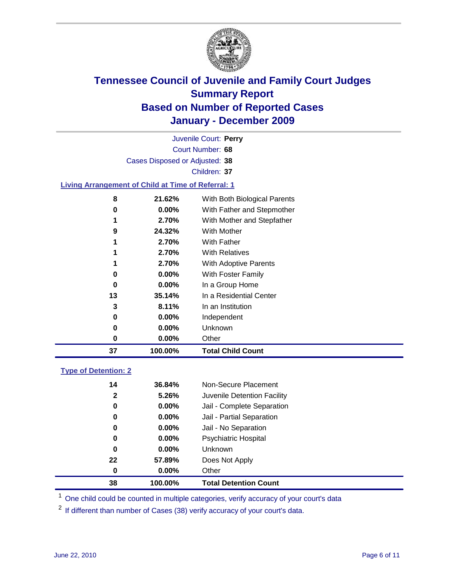

Court Number: **68** Juvenile Court: **Perry** Cases Disposed or Adjusted: **38** Children: **37 Living Arrangement of Child at Time of Referral: 1 21.62%** With Both Biological Parents

| 37 | 100.00%  | <b>Total Child Count</b>             |
|----|----------|--------------------------------------|
| 0  | $0.00\%$ | Other                                |
| 0  | $0.00\%$ | Unknown                              |
| 0  | $0.00\%$ | Independent                          |
| 3  | 8.11%    | In an Institution                    |
| 13 | 35.14%   | In a Residential Center              |
| 0  | $0.00\%$ | In a Group Home                      |
| 0  | $0.00\%$ | <b>With Foster Family</b>            |
|    | 2.70%    | <b>With Adoptive Parents</b>         |
| 1  | 2.70%    | <b>With Relatives</b>                |
| 1  | 2.70%    | <b>With Father</b>                   |
| 9  | 24.32%   | With Mother                          |
| 1  | 2.70%    | With Mother and Stepfather           |
| 0  | $0.00\%$ | With Father and Stepmother           |
| v  | 41.V470  | <u>WILL DOLL DIOIOGICAL LATERIUS</u> |

### **Type of Detention: 2**

| 38 | 100.00%               | <b>Total Detention Count</b> |
|----|-----------------------|------------------------------|
|    | 0.00%<br>0            | Other                        |
| 22 | 57.89%                | Does Not Apply               |
|    | 0<br>$0.00\%$         | Unknown                      |
|    | 0<br>$0.00\%$         | <b>Psychiatric Hospital</b>  |
|    | 0.00%<br>0            | Jail - No Separation         |
|    | 0<br>$0.00\%$         | Jail - Partial Separation    |
|    | $0.00\%$<br>0         | Jail - Complete Separation   |
|    | $\mathbf{2}$<br>5.26% | Juvenile Detention Facility  |
| 14 | 36.84%                | Non-Secure Placement         |
|    |                       |                              |

<sup>1</sup> One child could be counted in multiple categories, verify accuracy of your court's data

<sup>2</sup> If different than number of Cases (38) verify accuracy of your court's data.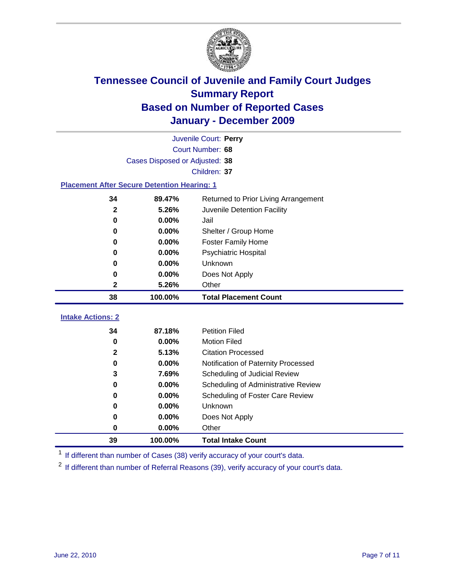

|                                                                        | Juvenile Court: Perry          |                                      |  |  |  |
|------------------------------------------------------------------------|--------------------------------|--------------------------------------|--|--|--|
|                                                                        | Court Number: 68               |                                      |  |  |  |
|                                                                        | Cases Disposed or Adjusted: 38 |                                      |  |  |  |
| Children: 37                                                           |                                |                                      |  |  |  |
| <b>Placement After Secure Detention Hearing: 1</b>                     |                                |                                      |  |  |  |
| 34                                                                     | 89.47%                         | Returned to Prior Living Arrangement |  |  |  |
| 5.26%<br>$\boldsymbol{2}$<br>0.00%<br>$\mathbf 0$<br>0.00%<br>$\bf{0}$ |                                | Juvenile Detention Facility          |  |  |  |
|                                                                        |                                | Jail                                 |  |  |  |
|                                                                        |                                | Shelter / Group Home                 |  |  |  |
| 0                                                                      | 0.00%                          | <b>Foster Family Home</b>            |  |  |  |
| 0                                                                      | 0.00%                          | Psychiatric Hospital                 |  |  |  |
| 0                                                                      | 0.00%                          | Unknown                              |  |  |  |
| 0                                                                      | 0.00%                          | Does Not Apply                       |  |  |  |
| 2                                                                      | 5.26%                          | Other                                |  |  |  |
| 38                                                                     | 100.00%                        | <b>Total Placement Count</b>         |  |  |  |
| <b>Intake Actions: 2</b>                                               |                                |                                      |  |  |  |
| 34                                                                     | 87.18%                         | <b>Petition Filed</b>                |  |  |  |
| $\mathbf 0$                                                            | 0.00%                          | <b>Motion Filed</b>                  |  |  |  |
| $\mathbf{2}$                                                           | 5.13%                          | <b>Citation Processed</b>            |  |  |  |
| $\bf{0}$                                                               | 0.00%                          | Notification of Paternity Processed  |  |  |  |
| 3                                                                      | 7.69%                          | Scheduling of Judicial Review        |  |  |  |
| 0                                                                      | 0.00%                          | Scheduling of Administrative Review  |  |  |  |
| 0                                                                      | 0.00%                          | Scheduling of Foster Care Review     |  |  |  |
| 0                                                                      | 0.00%                          | Unknown                              |  |  |  |
| 0                                                                      | 0.00%                          | Does Not Apply                       |  |  |  |
|                                                                        |                                |                                      |  |  |  |
| $\pmb{0}$                                                              | 0.00%                          | Other                                |  |  |  |

<sup>1</sup> If different than number of Cases (38) verify accuracy of your court's data.

<sup>2</sup> If different than number of Referral Reasons (39), verify accuracy of your court's data.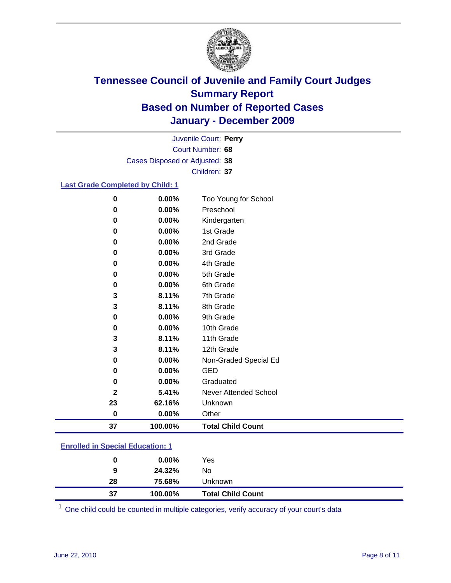

Court Number: **68** Juvenile Court: **Perry** Cases Disposed or Adjusted: **38** Children: **37**

#### **Last Grade Completed by Child: 1**

| 0            | 0.00%   | Too Young for School         |
|--------------|---------|------------------------------|
| 0            | 0.00%   | Preschool                    |
| 0            | 0.00%   | Kindergarten                 |
| 0            | 0.00%   | 1st Grade                    |
| 0            | 0.00%   | 2nd Grade                    |
| 0            | 0.00%   | 3rd Grade                    |
| 0            | 0.00%   | 4th Grade                    |
| 0            | 0.00%   | 5th Grade                    |
| 0            | 0.00%   | 6th Grade                    |
| 3            | 8.11%   | 7th Grade                    |
| 3            | 8.11%   | 8th Grade                    |
| 0            | 0.00%   | 9th Grade                    |
| 0            | 0.00%   | 10th Grade                   |
| 3            | 8.11%   | 11th Grade                   |
| 3            | 8.11%   | 12th Grade                   |
| 0            | 0.00%   | Non-Graded Special Ed        |
| 0            | 0.00%   | GED                          |
| 0            | 0.00%   | Graduated                    |
| $\mathbf{2}$ | 5.41%   | <b>Never Attended School</b> |
| 23           | 62.16%  | Unknown                      |
| $\pmb{0}$    | 0.00%   | Other                        |
| 37           | 100.00% | <b>Total Child Count</b>     |

### **Enrolled in Special Education: 1**

| 0       | $0.00\%$         | Yes                      |
|---------|------------------|--------------------------|
| 9<br>28 | 24.32%<br>75.68% | No<br><b>Unknown</b>     |
| 37      | 100.00%          | <b>Total Child Count</b> |

One child could be counted in multiple categories, verify accuracy of your court's data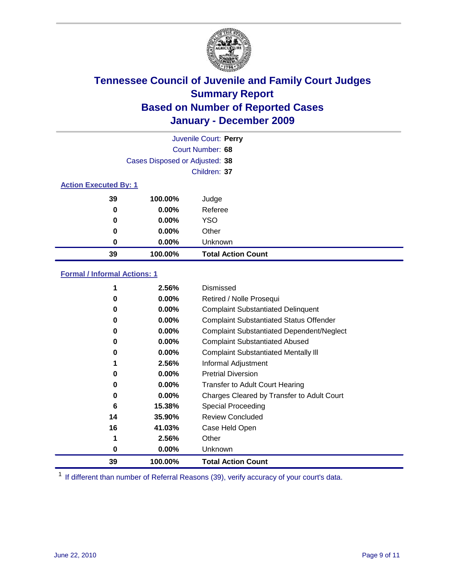

|                                |          | Juvenile Court: Perry     |  |
|--------------------------------|----------|---------------------------|--|
|                                |          | Court Number: 68          |  |
| Cases Disposed or Adjusted: 38 |          |                           |  |
| Children: 37                   |          |                           |  |
| <b>Action Executed By: 1</b>   |          |                           |  |
| 39                             | 100.00%  | Judge                     |  |
| 0                              | $0.00\%$ | Referee                   |  |
| 0                              | $0.00\%$ | <b>YSO</b>                |  |
| 0                              | $0.00\%$ | Other                     |  |
| 0                              | $0.00\%$ | Unknown                   |  |
| 39                             | 100.00%  | <b>Total Action Count</b> |  |

### **Formal / Informal Actions: 1**

|    | 2.56%    | Dismissed                                        |
|----|----------|--------------------------------------------------|
| 0  | $0.00\%$ | Retired / Nolle Prosequi                         |
| 0  | $0.00\%$ | <b>Complaint Substantiated Delinquent</b>        |
| 0  | $0.00\%$ | <b>Complaint Substantiated Status Offender</b>   |
| 0  | $0.00\%$ | <b>Complaint Substantiated Dependent/Neglect</b> |
| 0  | $0.00\%$ | <b>Complaint Substantiated Abused</b>            |
| 0  | $0.00\%$ | <b>Complaint Substantiated Mentally III</b>      |
|    | 2.56%    | Informal Adjustment                              |
| 0  | $0.00\%$ | <b>Pretrial Diversion</b>                        |
| 0  | 0.00%    | <b>Transfer to Adult Court Hearing</b>           |
| 0  | 0.00%    | Charges Cleared by Transfer to Adult Court       |
| 6  | 15.38%   | Special Proceeding                               |
| 14 | 35.90%   | <b>Review Concluded</b>                          |
| 16 | 41.03%   | Case Held Open                                   |
| 1  | 2.56%    | Other                                            |
| 0  | $0.00\%$ | Unknown                                          |
| 39 | 100.00%  | <b>Total Action Count</b>                        |

<sup>1</sup> If different than number of Referral Reasons (39), verify accuracy of your court's data.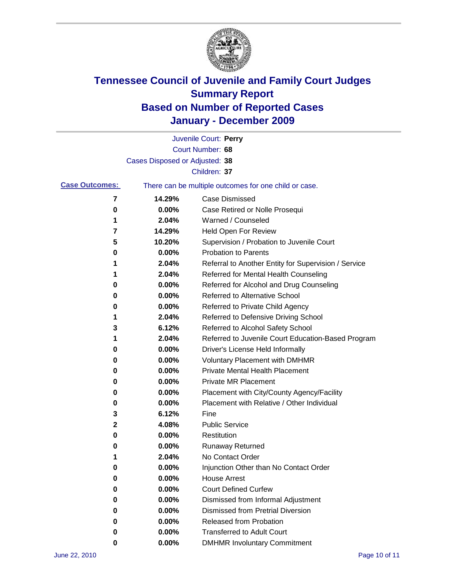

|                       |                                | Juvenile Court: Perry                                 |
|-----------------------|--------------------------------|-------------------------------------------------------|
|                       |                                | Court Number: 68                                      |
|                       | Cases Disposed or Adjusted: 38 |                                                       |
|                       |                                | Children: 37                                          |
| <b>Case Outcomes:</b> |                                | There can be multiple outcomes for one child or case. |
| 7                     | 14.29%                         | <b>Case Dismissed</b>                                 |
| 0                     | $0.00\%$                       | Case Retired or Nolle Prosequi                        |
| 1                     | 2.04%                          | Warned / Counseled                                    |
| 7                     | 14.29%                         | Held Open For Review                                  |
| 5                     | 10.20%                         | Supervision / Probation to Juvenile Court             |
| 0                     | 0.00%                          | <b>Probation to Parents</b>                           |
| 1                     | 2.04%                          | Referral to Another Entity for Supervision / Service  |
| 1                     | 2.04%                          | Referred for Mental Health Counseling                 |
| 0                     | 0.00%                          | Referred for Alcohol and Drug Counseling              |
| 0                     | 0.00%                          | <b>Referred to Alternative School</b>                 |
| 0                     | 0.00%                          | Referred to Private Child Agency                      |
| 1                     | 2.04%                          | Referred to Defensive Driving School                  |
| 3                     | 6.12%                          | Referred to Alcohol Safety School                     |
| 1                     | 2.04%                          | Referred to Juvenile Court Education-Based Program    |
| 0                     | 0.00%                          | Driver's License Held Informally                      |
| 0                     | 0.00%                          | <b>Voluntary Placement with DMHMR</b>                 |
| 0                     | 0.00%                          | <b>Private Mental Health Placement</b>                |
| 0                     | 0.00%                          | <b>Private MR Placement</b>                           |
| 0                     | 0.00%                          | Placement with City/County Agency/Facility            |
| 0                     | 0.00%                          | Placement with Relative / Other Individual            |
| 3                     | 6.12%                          | Fine                                                  |
| 2                     | 4.08%                          | <b>Public Service</b>                                 |
| 0                     | 0.00%                          | Restitution                                           |
| 0                     | 0.00%                          | <b>Runaway Returned</b>                               |
| 1                     | 2.04%                          | No Contact Order                                      |
| U                     | 0.00%                          | Injunction Other than No Contact Order                |
| 0                     | 0.00%                          | <b>House Arrest</b>                                   |
| 0                     | 0.00%                          | <b>Court Defined Curfew</b>                           |
| 0                     | 0.00%                          | Dismissed from Informal Adjustment                    |
| 0                     | 0.00%                          | <b>Dismissed from Pretrial Diversion</b>              |
| 0                     | 0.00%                          | Released from Probation                               |
| 0                     | 0.00%                          | <b>Transferred to Adult Court</b>                     |
| 0                     | $0.00\%$                       | <b>DMHMR Involuntary Commitment</b>                   |